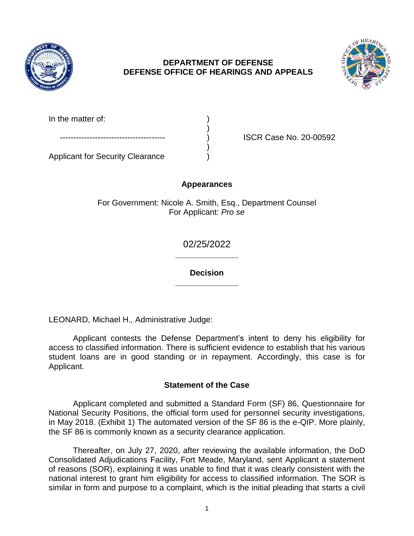

## **DEPARTMENT OF DEFENSE DEFENSE OFFICE OF HEARINGS AND APPEALS**



| In the matter of: |  |
|-------------------|--|
|                   |  |

ISCR Case No. 20-00592

Applicant for Security Clearance )

# **Appearances**

)

For Government: Nicole A. Smith, Esq., Department Counsel For Applicant: *Pro se* 

> **\_\_\_\_\_\_\_\_\_\_\_\_\_\_**  02/25/2022

> **\_\_\_\_\_\_\_\_\_\_\_\_\_\_ Decision**

LEONARD, Michael H., Administrative Judge:

 Applicant contests the Defense Department's intent to deny his eligibility for student loans are in good standing or in repayment. Accordingly, this case is for access to classified information. There is sufficient evidence to establish that his various Applicant.

# **Statement of the Case**

 Applicant completed and submitted a Standard Form (SF) 86, Questionnaire for National Security Positions, the official form used for personnel security investigations, in May 2018. (Exhibit 1) The automated version of the SF 86 is the e-QIP. More plainly, the SF 86 is commonly known as a security clearance application.

 Thereafter, on July 27, 2020, after reviewing the available information, the DoD Consolidated Adjudications Facility, Fort Meade, Maryland, sent Applicant a statement of reasons (SOR), explaining it was unable to find that it was clearly consistent with the national interest to grant him eligibility for access to classified information. The SOR is similar in form and purpose to a complaint, which is the initial pleading that starts a civil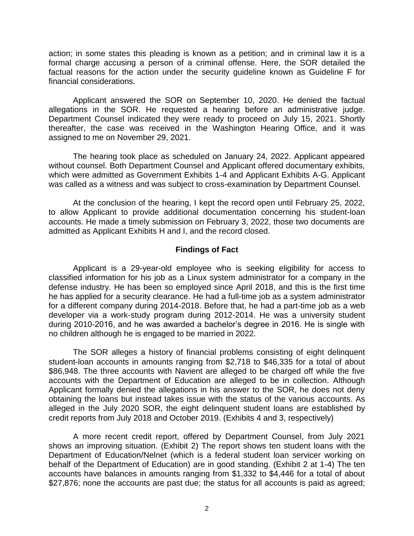action; in some states this pleading is known as a petition; and in criminal law it is a formal charge accusing a person of a criminal offense. Here, the SOR detailed the factual reasons for the action under the security guideline known as Guideline F for financial considerations.

 Applicant answered the SOR on September 10, 2020. He denied the factual allegations in the SOR. He requested a hearing before an administrative judge. Department Counsel indicated they were ready to proceed on July 15, 2021. Shortly thereafter, the case was received in the Washington Hearing Office, and it was assigned to me on November 29, 2021.

 The hearing took place as scheduled on January 24, 2022. Applicant appeared without counsel. Both Department Counsel and Applicant offered documentary exhibits, which were admitted as Government Exhibits 1-4 and Applicant Exhibits A-G. Applicant was called as a witness and was subject to cross-examination by Department Counsel.

 At the conclusion of the hearing, I kept the record open until February 25, 2022, to allow Applicant to provide additional documentation concerning his student-loan accounts. He made a timely submission on February 3, 2022, those two documents are admitted as Applicant Exhibits H and I, and the record closed.

### **Findings of Fact**

 Applicant is a 29-year-old employee who is seeking eligibility for access to classified information for his job as a Linux system administrator for a company in the defense industry. He has been so employed since April 2018, and this is the first time he has applied for a security clearance. He had a full-time job as a system administrator for a different company during 2014-2018. Before that, he had a part-time job as a web developer via a work-study program during 2012-2014. He was a university student during 2010-2016, and he was awarded a bachelor's degree in 2016. He is single with no children although he is engaged to be married in 2022.

 The SOR alleges a history of financial problems consisting of eight delinquent student-loan accounts in amounts ranging from \$2,718 to \$46,335 for a total of about \$86,948. The three accounts with Navient are alleged to be charged off while the five accounts with the Department of Education are alleged to be in collection. Although Applicant formally denied the allegations in his answer to the SOR, he does not deny obtaining the loans but instead takes issue with the status of the various accounts. As alleged in the July 2020 SOR, the eight delinquent student loans are established by credit reports from July 2018 and October 2019. (Exhibits 4 and 3, respectively)

 A more recent credit report, offered by Department Counsel, from July 2021 shows an improving situation. (Exhibit 2) The report shows ten student loans with the Department of Education/Nelnet (which is a federal student loan servicer working on behalf of the Department of Education) are in good standing. (Exhibit 2 at 1-4) The ten accounts have balances in amounts ranging from \$1,332 to \$4,446 for a total of about \$27,876; none the accounts are past due; the status for all accounts is paid as agreed;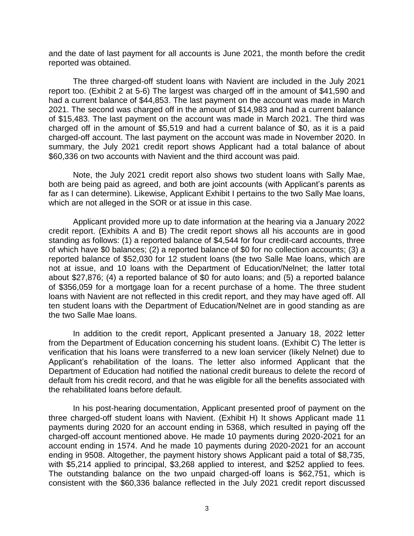and the date of last payment for all accounts is June 2021, the month before the credit reported was obtained.

 The three charged-off student loans with Navient are included in the July 2021 report too. (Exhibit 2 at 5-6) The largest was charged off in the amount of \$41,590 and had a current balance of \$44,853. The last payment on the account was made in March 2021. The second was charged off in the amount of \$14,983 and had a current balance of \$15,483. The last payment on the account was made in March 2021. The third was charged off in the amount of \$5,519 and had a current balance of \$0, as it is a paid charged-off account. The last payment on the account was made in November 2020. In summary, the July 2021 credit report shows Applicant had a total balance of about \$60,336 on two accounts with Navient and the third account was paid.

 Note, the July 2021 credit report also shows two student loans with Sally Mae, both are being paid as agreed, and both are joint accounts (with Applicant's parents as far as I can determine). Likewise, Applicant Exhibit I pertains to the two Sally Mae loans, which are not alleged in the SOR or at issue in this case.

 Applicant provided more up to date information at the hearing via a January 2022 credit report. (Exhibits A and B) The credit report shows all his accounts are in good standing as follows: (1) a reported balance of \$4,544 for four credit-card accounts, three of which have \$0 balances; (2) a reported balance of \$0 for no collection accounts; (3) a reported balance of \$52,030 for 12 student loans (the two Salle Mae loans, which are not at issue, and 10 loans with the Department of Education/Nelnet; the latter total about \$27,876; (4) a reported balance of \$0 for auto loans; and (5) a reported balance of \$356,059 for a mortgage loan for a recent purchase of a home. The three student loans with Navient are not reflected in this credit report, and they may have aged off. All ten student loans with the Department of Education/Nelnet are in good standing as are the two Salle Mae loans.

 In addition to the credit report, Applicant presented a January 18, 2022 letter from the Department of Education concerning his student loans. (Exhibit C) The letter is verification that his loans were transferred to a new loan servicer (likely Nelnet) due to Applicant's rehabilitation of the loans. The letter also informed Applicant that the Department of Education had notified the national credit bureaus to delete the record of default from his credit record, and that he was eligible for all the benefits associated with the rehabilitated loans before default.

 In his post-hearing documentation, Applicant presented proof of payment on the three charged-off student loans with Navient. (Exhibit H) It shows Applicant made 11 payments during 2020 for an account ending in 5368, which resulted in paying off the charged-off account mentioned above. He made 10 payments during 2020-2021 for an account ending in 1574. And he made 10 payments during 2020-2021 for an account with \$5,214 applied to principal, \$3,268 applied to interest, and \$252 applied to fees. The outstanding balance on the two unpaid charged-off loans is \$62,751, which is consistent with the \$60,336 balance reflected in the July 2021 credit report discussed ending in 9508. Altogether, the payment history shows Applicant paid a total of \$8,735,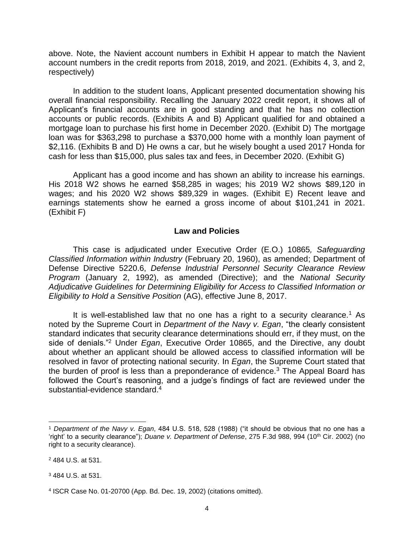above. Note, the Navient account numbers in Exhibit H appear to match the Navient account numbers in the credit reports from 2018, 2019, and 2021. (Exhibits 4, 3, and 2, respectively)

 In addition to the student loans, Applicant presented documentation showing his overall financial responsibility. Recalling the January 2022 credit report, it shows all of Applicant's financial accounts are in good standing and that he has no collection accounts or public records. (Exhibits A and B) Applicant qualified for and obtained a mortgage loan to purchase his first home in December 2020. (Exhibit D) The mortgage loan was for \$363,298 to purchase a \$370,000 home with a monthly loan payment of \$2,116. (Exhibits B and D) He owns a car, but he wisely bought a used 2017 Honda for cash for less than \$15,000, plus sales tax and fees, in December 2020. (Exhibit G)

 Applicant has a good income and has shown an ability to increase his earnings. His 2018 W2 shows he earned \$58,285 in wages; his 2019 W2 shows \$89,120 in wages; and his 2020 W2 shows \$89,329 in wages. (Exhibit E) Recent leave and earnings statements show he earned a gross income of about \$101,241 in 2021. (Exhibit F)

#### **Law and Policies**

 Defense Directive 5220.6, *Defense Industrial Personnel Security Clearance Review Adjudicative Guidelines for Determining Eligibility for Access to Classified Information or*  This case is adjudicated under Executive Order (E.O.) 10865*, Safeguarding Classified Information within Industry* (February 20, 1960), as amended; Department of *Program* (January 2, 1992), as amended (Directive); and the *National Security Eligibility to Hold a Sensitive Position* (AG), effective June 8, 2017.

It is well-established law that no one has a right to a security clearance.<sup>1</sup> As noted by the Supreme Court in *Department of the Navy v. Egan*, "the clearly consistent standard indicates that security clearance determinations should err, if they must, on the side of denials."2 Under *Egan*, Executive Order 10865, and the Directive, any doubt about whether an applicant should be allowed access to classified information will be resolved in favor of protecting national security. In *Egan*, the Supreme Court stated that the burden of proof is less than a preponderance of evidence.<sup>3</sup> The Appeal Board has followed the Court's reasoning, and a judge's findings of fact are reviewed under the substantial-evidence standard.4

 $\overline{a}$ 

<sup>1</sup>*Department of the Navy v. Egan*, 484 U.S. 518, 528 (1988) ("it should be obvious that no one has a 'right' to a security clearance"); *Duane v. Department of Defense*, 275 F.3d 988, 994 (10<sup>th</sup> Cir. 2002) (no right to a security clearance).

<sup>2 484</sup> U.S. at 531.

<sup>3 484</sup> U.S. at 531.

<sup>4</sup> ISCR Case No. 01-20700 (App. Bd. Dec. 19, 2002) (citations omitted).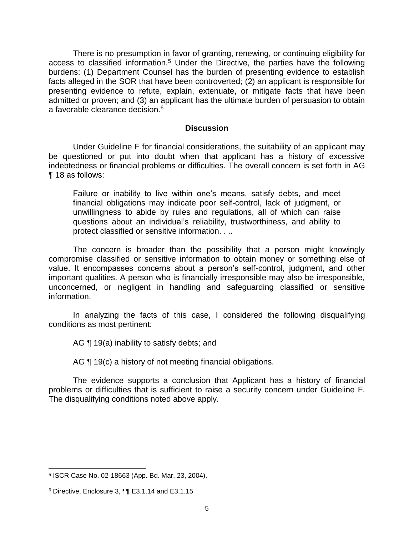There is no presumption in favor of granting, renewing, or continuing eligibility for access to classified information.<sup>5</sup> Under the Directive, the parties have the following burdens: (1) Department Counsel has the burden of presenting evidence to establish facts alleged in the SOR that have been controverted; (2) an applicant is responsible for presenting evidence to refute, explain, extenuate, or mitigate facts that have been admitted or proven; and (3) an applicant has the ultimate burden of persuasion to obtain a favorable clearance decision.6

#### **Discussion**

 Under Guideline F for financial considerations, the suitability of an applicant may be questioned or put into doubt when that applicant has a history of excessive indebtedness or financial problems or difficulties. The overall concern is set forth in AG ¶ 18 as follows:

Failure or inability to live within one's means, satisfy debts, and meet financial obligations may indicate poor self-control, lack of judgment, or unwillingness to abide by rules and regulations, all of which can raise questions about an individual's reliability, trustworthiness, and ability to protect classified or sensitive information. . ..

 The concern is broader than the possibility that a person might knowingly compromise classified or sensitive information to obtain money or something else of value. It encompasses concerns about a person's self-control, judgment, and other important qualities. A person who is financially irresponsible may also be irresponsible, unconcerned, or negligent in handling and safeguarding classified or sensitive information.

 In analyzing the facts of this case, I considered the following disqualifying conditions as most pertinent:

AG ¶ 19(a) inability to satisfy debts; and

AG ¶ 19(c) a history of not meeting financial obligations.

 The evidence supports a conclusion that Applicant has a history of financial problems or difficulties that is sufficient to raise a security concern under Guideline F. The disqualifying conditions noted above apply.

 $\overline{a}$ 

<sup>5</sup> ISCR Case No. 02-18663 (App. Bd. Mar. 23, 2004).

<sup>6</sup> Directive, Enclosure 3, ¶¶ E3.1.14 and E3.1.15